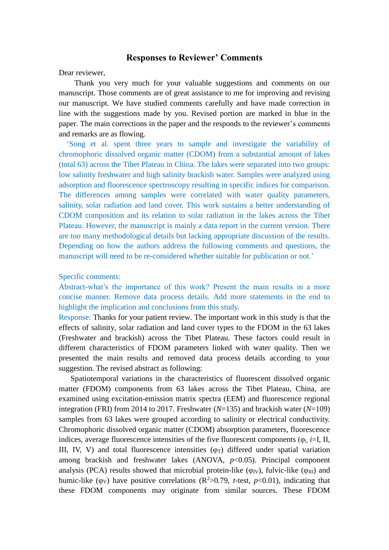### **Responses to Reviewer' Comments**

Dear reviewer,

Thank you very much for your valuable suggestions and comments on our manuscript. Those comments are of great assistance to me for improving and revising our manuscript. We have studied comments carefully and have made correction in line with the suggestions made by you. Revised portion are marked in blue in the paper. The main corrections in the paper and the responds to the reviewer's comments and remarks are as flowing.

'Song et al. spent three years to sample and investigate the variability of chromophoric dissolved organic matter (CDOM) from a substantial amount of lakes (total 63) across the Tibet Plateau in China. The lakes were separated into two groups: low salinity freshwater and high salinity brackish water. Samples were analyzed using adsorption and fluorescence spectroscopy resulting in specific indices for comparison. The differences among samples were correlated with water quality parameters, salinity, solar radiation and land cover. This work sustains a better understanding of CDOM composition and its relation to solar radiation in the lakes across the Tibet Plateau. However, the manuscript is mainly a data report in the current version. There are too many methodological details but lacking appropriate discussion of the results. Depending on how the authors address the following comments and questions, the manuscript will need to be re-considered whether suitable for publication or not.'

### Specific comments:

Abstract-what's the importance of this work? Present the main results in a more concise manner. Remove data process details. Add more statements in the end to highlight the implication and conclusions from this study.

Response: Thanks for your patient review. The important work in this study is that the effects of salinity, solar radiation and land cover types to the FDOM in the 63 lakes (Freshwater and brackish) across the Tibet Plateau. These factors could result in different characteristics of FDOM parameters linked with water quality. Then we presented the main results and removed data process details according to your suggestion. The revised abstract as following:

Spatiotemporal variations in the characteristics of fluorescent dissolved organic matter (FDOM) components from 63 lakes across the Tibet Plateau, China, are examined using excitation-emission matrix spectra (EEM) and fluorescence regional integration (FRI) from 2014 to 2017. Freshwater (*N*=135) and brackish water (*N*=109) samples from 63 lakes were grouped according to salinity or electrical conductivity. Chromophoric dissolved organic matter (CDOM) absorption parameters, fluorescence indices, average fluorescence intensities of the five fluorescent components ( $\varphi$ <sub>i, *i*=I, II,</sub> III, IV, V) and total fluorescence intensities  $(\varphi_T)$  differed under spatial variation among brackish and freshwater lakes (ANOVA,  $p<0.05$ ). Principal component analysis (PCA) results showed that microbial protein-like ( $\varphi$ <sub>IV</sub>), fulvic-like ( $\varphi$ <sub>III</sub>) and humic-like ( $\varphi$ <sub>V</sub>) have positive correlations (R<sup>2</sup>>0.79, *t*-test, *p*<0.01), indicating that these FDOM components may originate from similar sources. These FDOM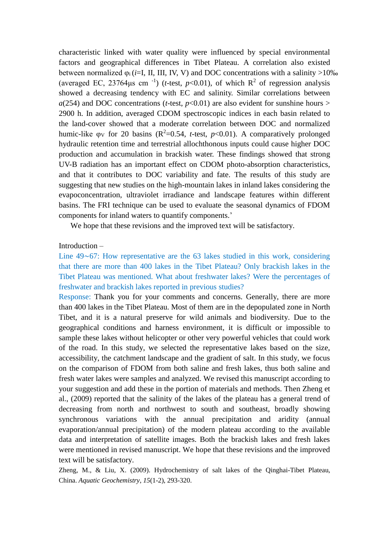characteristic linked with water quality were influenced by special environmental factors and geographical differences in Tibet Plateau. A correlation also existed between normalized  $\varphi_i$  (*i*=I, II, III, IV, V) and DOC concentrations with a salinity >10‰ (averaged EC, 23764 $\mu$ s cm<sup>-1</sup>) (*t*-test, *p*<0.01), of which R<sup>2</sup> of regression analysis showed a decreasing tendency with EC and salinity. Similar correlations between  $a(254)$  and DOC concentrations (*t*-test,  $p<0.01$ ) are also evident for sunshine hours > 2900 h. In addition, averaged CDOM spectroscopic indices in each basin related to the land-cover showed that a moderate correlation between DOC and normalized humic-like  $\varphi$ <sub>V</sub> for 20 basins (R<sup>2</sup>=0.54, *t*-test, *p*<0.01). A comparatively prolonged hydraulic retention time and terrestrial allochthonous inputs could cause higher DOC production and accumulation in brackish water. These findings showed that strong UV-B radiation has an important effect on CDOM photo-absorption characteristics, and that it contributes to DOC variability and fate. The results of this study are suggesting that new studies on the high-mountain lakes in inland lakes considering the evapoconcentration, ultraviolet irradiance and landscape features within different basins. The FRI technique can be used to evaluate the seasonal dynamics of FDOM components for inland waters to quantify components.'

We hope that these revisions and the improved text will be satisfactory.

### Introduction –

Line 49∼67: How representative are the 63 lakes studied in this work, considering that there are more than 400 lakes in the Tibet Plateau? Only brackish lakes in the Tibet Plateau was mentioned. What about freshwater lakes? Were the percentages of freshwater and brackish lakes reported in previous studies?

Response: Thank you for your comments and concerns. Generally, there are more than 400 lakes in the Tibet Plateau. Most of them are in the depopulated zone in North Tibet, and it is a natural preserve for wild animals and biodiversity. Due to the geographical conditions and harness environment, it is difficult or impossible to sample these lakes without helicopter or other very powerful vehicles that could work of the road. In this study, we selected the representative lakes based on the size, accessibility, the catchment landscape and the gradient of salt. In this study, we focus on the comparison of FDOM from both saline and fresh lakes, thus both saline and fresh water lakes were samples and analyzed. We revised this manuscript according to your suggestion and add these in the portion of materials and methods. Then Zheng et al., (2009) reported that the salinity of the lakes of the plateau has a general trend of decreasing from north and northwest to south and southeast, broadly showing synchronous variations with the annual precipitation and aridity (annual evaporation/annual precipitation) of the modern plateau according to the available data and interpretation of satellite images. Both the brackish lakes and fresh lakes were mentioned in revised manuscript. We hope that these revisions and the improved text will be satisfactory.

Zheng, M., & Liu, X. (2009). Hydrochemistry of salt lakes of the Qinghai-Tibet Plateau, China. *Aquatic Geochemistry*, *15*(1-2), 293-320.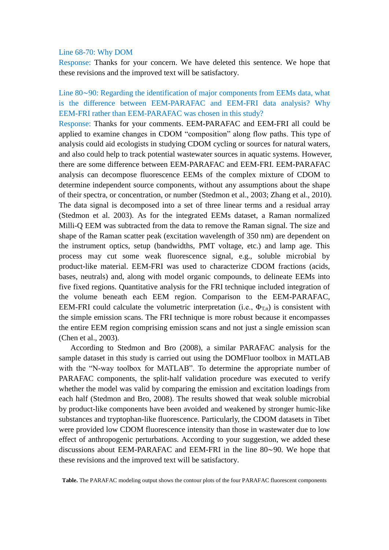#### Line 68-70: Why DOM

Response: Thanks for your concern. We have deleted this sentence. We hope that these revisions and the improved text will be satisfactory.

Line 80∼90: Regarding the identification of major components from EEMs data, what is the difference between EEM-PARAFAC and EEM-FRI data analysis? Why EEM-FRI rather than EEM-PARAFAC was chosen in this study?

Response: Thanks for your comments. EEM-PARAFAC and EEM-FRI all could be applied to examine changes in CDOM "composition" along flow paths. This type of analysis could aid ecologists in studying CDOM cycling or sources for natural waters, and also could help to track potential wastewater sources in aquatic systems. However, there are some difference between EEM-PARAFAC and EEM-FRI. EEM-PARAFAC analysis can decompose fluorescence EEMs of the complex mixture of CDOM to determine independent source components, without any assumptions about the shape of their spectra, or concentration, or number (Stedmon et al., 2003; Zhang et al., 2010). The data signal is decomposed into a set of three linear terms and a residual array (Stedmon et al. 2003). As for the integrated EEMs dataset, a Raman normalized Milli-Q EEM was subtracted from the data to remove the Raman signal. The size and shape of the Raman scatter peak (excitation wavelength of 350 nm) are dependent on the instrument optics, setup (bandwidths, PMT voltage, etc.) and lamp age. This process may cut some weak fluorescence signal, e.g., soluble microbial by product-like material. EEM-FRI was used to characterize CDOM fractions (acids, bases, neutrals) and, along with model organic compounds, to delineate EEMs into five fixed regions. Quantitative analysis for the FRI technique included integration of the volume beneath each EEM region. Comparison to the EEM-PARAFAC, EEM-FRI could calculate the volumetric interpretation (i.e.,  $\Phi_{T,n}$ ) is consistent with the simple emission scans. The FRI technique is more robust because it encompasses the entire EEM region comprising emission scans and not just a single emission scan (Chen et al., 2003).

 According to Stedmon and Bro (2008), a similar PARAFAC analysis for the sample dataset in this study is carried out using the DOMFluor toolbox in MATLAB with the "N-way toolbox for MATLAB". To determine the appropriate number of PARAFAC components, the split-half validation procedure was executed to verify whether the model was valid by comparing the emission and excitation loadings from each half (Stedmon and Bro, 2008). The results showed that weak soluble microbial by product-like components have been avoided and weakened by stronger humic-like substances and tryptophan-like fluorescence. Particularly, the CDOM datasets in Tibet were provided low CDOM fluorescence intensity than those in wastewater due to low effect of anthropogenic perturbations. According to your suggestion, we added these discussions about EEM-PARAFAC and EEM-FRI in the line 80∼90. We hope that these revisions and the improved text will be satisfactory.

**Table.** The PARAFAC modeling output shows the contour plots of the four PARAFAC fluorescent components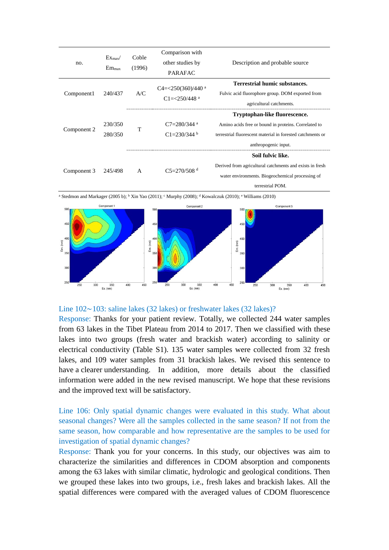| no.         | $Ex_{max}$<br>$Em_{max}$ | Coble<br>(1996) | Comparison with<br>other studies by<br><b>PARAFAC</b>           | Description and probable source                                                                                                                                             |
|-------------|--------------------------|-----------------|-----------------------------------------------------------------|-----------------------------------------------------------------------------------------------------------------------------------------------------------------------------|
| Component1  | 240/437                  | A/C             | $C4 = 250(360)/440$ <sup>a</sup><br>$C1 = 250/448$ <sup>a</sup> | <b>Terrestrial humic substances.</b><br>Fulvic acid fluorophore group. DOM exported from<br>agricultural catchments.                                                        |
| Component 2 | 230/350<br>280/350       | T               | $C7 = 280/344$ <sup>a</sup><br>$C1 = 230/344$ b                 | Tryptophan-like fluorescence.<br>Amino acids free or bound in proteins. Correlated to<br>terrestrial fluorescent material in forested catchments or<br>anthropogenic input. |
| Component 3 | 245/498                  | $\mathsf{A}$    | $C_5 = 270/508$ <sup>d</sup>                                    | Soil fulvic like.<br>Derived from agricultural catchments and exists in fresh<br>water environments. Biogeochemical processing of<br>terrestrial POM.                       |

<sup>a</sup> Stedmon and Markager (2005 b); <sup>b</sup> Xin Yao (2011); <sup>c</sup> Murphy (2008); <sup>d</sup> Kowalczuk (2010); <sup>e</sup> Williams (2010)



### Line 102∼103: saline lakes (32 lakes) or freshwater lakes (32 lakes)?

Response: Thanks for your patient review. Totally, we collected 244 water samples from 63 lakes in the Tibet Plateau from 2014 to 2017. Then we classified with these lakes into two groups (fresh water and brackish water) according to salinity or electrical conductivity (Table S1). 135 water samples were collected from 32 fresh lakes, and 109 water samples from 31 brackish lakes. We revised this sentence to have a clearer understanding. In addition, more details about the classified information were added in the new revised manuscript. We hope that these revisions and the improved text will be satisfactory.

Line 106: Only spatial dynamic changes were evaluated in this study. What about seasonal changes? Were all the samples collected in the same season? If not from the same season, how comparable and how representative are the samples to be used for investigation of spatial dynamic changes?

Response: Thank you for your concerns. In this study, our objectives was aim to characterize the similarities and differences in CDOM absorption and components among the 63 lakes with similar climatic, hydrologic and geological conditions. Then we grouped these lakes into two groups, i.e., fresh lakes and brackish lakes. All the spatial differences were compared with the averaged values of CDOM fluorescence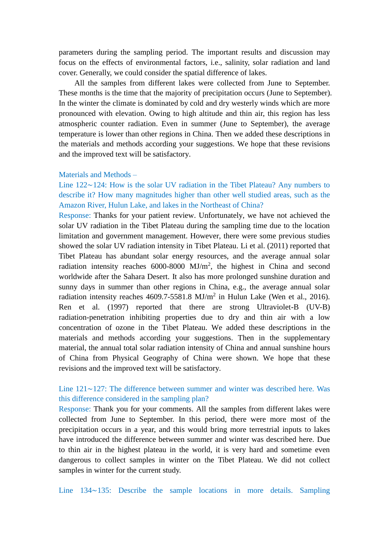parameters during the sampling period. The important results and discussion may focus on the effects of environmental factors, i.e., salinity, solar radiation and land cover. Generally, we could consider the spatial difference of lakes.

All the samples from different lakes were collected from June to September. These months is the time that the majority of precipitation occurs (June to September). In the winter the climate is dominated by cold and dry westerly winds which are more pronounced with elevation. Owing to high altitude and thin air, this region has less [atmospheric counter radiation.](http://dict.youdao.com/w/atmospheric%20counter%20radiation/#keyfrom=E2Ctranslation) Even in summer (June to September), the average temperature is lower than other regions in China. Then we added these descriptions in the materials and methods according your suggestions. We hope that these revisions and the improved text will be satisfactory.

#### Materials and Methods –

Line 122∼124: How is the solar UV radiation in the Tibet Plateau? Any numbers to describe it? How many magnitudes higher than other well studied areas, such as the Amazon River, Hulun Lake, and lakes in the Northeast of China?

Response: Thanks for your patient review. Unfortunately, we have not achieved the solar UV radiation in the Tibet Plateau during the sampling time due to the location limitation and government management. However, there were some previous studies showed the solar UV radiation intensity in Tibet Plateau. Li et al. (2011) reported that Tibet Plateau has abundant solar energy resources, and the average annual solar radiation intensity reaches  $6000-8000$  MJ/m<sup>2</sup>, the highest in China and second worldwide after the Sahara Desert. It also has more prolonged sunshine duration and sunny days in summer than other regions in China, e.g., the average annual solar radiation intensity reaches  $4609.7 - 5581.8$  MJ/m<sup>2</sup> in Hulun Lake (Wen et al., 2016). Ren et al. (1997) reported that there are strong Ultraviolet-B (UV-B) radiation-penetration inhibiting properties due to dry and thin air with a low concentration of ozone in the Tibet Plateau. We added these descriptions in the materials and methods according your suggestions. Then in the supplementary material, the annual total solar radiation intensity of China and annual sunshine hours of China from Physical Geography of China were shown. We hope that these revisions and the improved text will be satisfactory.

# Line 121∼127: The difference between summer and winter was described here. Was this difference considered in the sampling plan?

Response: Thank you for your comments. All the samples from different lakes were collected from June to September. In this period, there were more most of the precipitation occurs in a year, and this would bring more terrestrial inputs to lakes have introduced the difference between summer and winter was described here. Due to thin air in the highest plateau in the world, it is very hard and sometime even dangerous to collect samples in winter on the Tibet Plateau. We did not collect samples in winter for the current study.

Line 134∼135: Describe the sample locations in more details. Sampling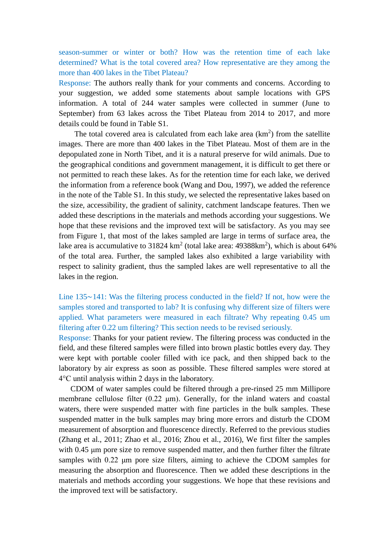season-summer or winter or both? How was the retention time of each lake determined? What is the total covered area? How representative are they among the more than 400 lakes in the Tibet Plateau?

Response: The authors really thank for your comments and concerns. According to your suggestion, we added some statements about sample locations with GPS information. A total of 244 water samples were collected in summer (June to September) from 63 lakes across the Tibet Plateau from 2014 to 2017, and more details could be found in Table S1.

The total covered area is calculated from each lake area  $(km<sup>2</sup>)$  from the satellite images. There are more than 400 lakes in the Tibet Plateau. Most of them are in the depopulated zone in North Tibet, and it is a natural preserve for wild animals. Due to the geographical conditions and government management, it is difficult to get there or not permitted to reach these lakes. As for the retention time for each lake, we derived the information from a reference book (Wang and Dou, 1997), we added the reference in the note of the Table S1. In this study, we selected the representative lakes based on the size, accessibility, the gradient of salinity, catchment landscape features. Then we added these descriptions in the materials and methods according your suggestions. We hope that these revisions and the improved text will be satisfactory. As you may see from Figure 1, that most of the lakes sampled are large in terms of surface area, the lake area is accumulative to 31824  $km^2$  (total lake area: 49388 $km^2$ ), which is about 64% of the total area. Further, the sampled lakes also exhibited a large variability with respect to salinity gradient, thus the sampled lakes are well representative to all the lakes in the region.

Line 135∼141: Was the filtering process conducted in the field? If not, how were the samples stored and transported to lab? It is confusing why different size of filters were applied. What parameters were measured in each filtrate? Why repeating 0.45 um filtering after 0.22 um filtering? This section needs to be revised seriously.

Response: Thanks for your patient review. The filtering process was conducted in the field, and these filtered samples were filled into brown plastic bottles every day. They were kept with portable cooler filled with ice pack, and then shipped back to the laboratory by air express as soon as possible. These filtered samples were stored at 4°C until analysis within 2 days in the laboratory.

 CDOM of water samples could be filtered through a pre-rinsed 25 mm Millipore membrane cellulose filter (0.22 μm). Generally, for the inland waters and coastal waters, there were suspended matter with fine particles in the bulk samples. These suspended matter in the bulk samples may bring more errors and disturb the CDOM measurement of absorption and fluorescence directly. Referred to the previous studies (Zhang et al., 2011; Zhao et al., 2016; Zhou et al., 2016), We first filter the samples with 0.45 μm pore size to remove suspended matter, and then further filter the filtrate samples with 0.22 μm pore size filters, aiming to achieve the CDOM samples for measuring the absorption and fluorescence. Then we added these descriptions in the materials and methods according your suggestions. We hope that these revisions and the improved text will be satisfactory.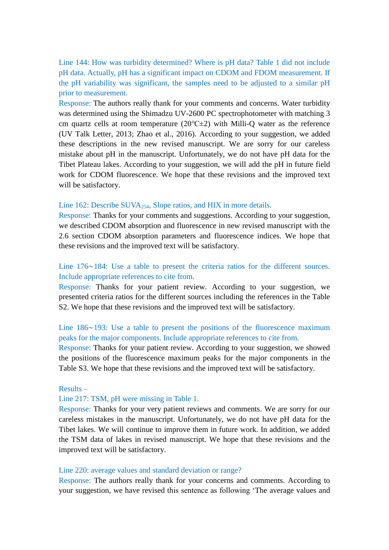Line 144: How was turbidity determined? Where is pH data? Table 1 did not include pH data. Actually, pH has a significant impact on CDOM and FDOM measurement. If the pH variability was significant, the samples need to be adjusted to a similar pH prior to measurement.

Response: The authors really thank for your comments and concerns. Water turbidity was determined using the Shimadzu UV-2600 PC spectrophotometer with matching 3 cm quartz cells at room temperature (20℃±2) with Milli-Q water as the reference (UV Talk Letter, 2013; Zhao et al., 2016). According to your suggestion, we added these descriptions in the new revised manuscript. We are sorry for our careless mistake about pH in the manuscript. Unfortunately, we do not have pH data for the Tibet Plateau lakes. According to your suggestion, we will add the pH in future field work for CDOM fluorescence. We hope that these revisions and the improved text will be satisfactory.

## Line 162: Describe SUVA<sub>254</sub>, Slope ratios, and HIX in more details.

Response: Thanks for your comments and suggestions. According to your suggestion, we described CDOM absorption and fluorescence in new revised manuscript with the 2.6 section CDOM absorption parameters and fluorescence indices. We hope that these revisions and the improved text will be satisfactory.

## Line 176∼184: Use a table to present the criteria ratios for the different sources. Include appropriate references to cite from.

Response: Thanks for your patient review. According to your suggestion, we presented criteria ratios for the different sources including the references in the Table S2. We hope that these revisions and the improved text will be satisfactory.

## Line 186∼193: Use a table to present the positions of the fluorescence maximum peaks for the major components. Include appropriate references to cite from.

Response: Thanks for your patient review. According to your suggestion, we showed the positions of the fluorescence maximum peaks for the major components in the Table S3. We hope that these revisions and the improved text will be satisfactory.

## Results –

## Line 217: TSM, pH were missing in Table 1.

Response: Thanks for your very patient reviews and comments. We are sorry for our careless mistakes in the manuscript. Unfortunately, we do not have pH data for the Tibet lakes. We will continue to improve them in future work. In addition, we added the TSM data of lakes in revised manuscript. We hope that these revisions and the improved text will be satisfactory.

#### Line 220: average values and standard deviation or range?

Response: The authors really thank for your concerns and comments. According to your suggestion, we have revised this sentence as following 'The average values and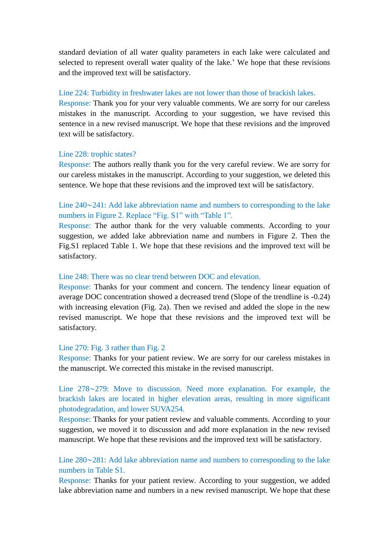standard deviation of all water quality parameters in each lake were calculated and selected to represent overall water quality of the lake.' We hope that these revisions and the improved text will be satisfactory.

### Line 224: Turbidity in freshwater lakes are not lower than those of brackish lakes.

Response: Thank you for your very valuable comments. We are sorry for our careless mistakes in the manuscript. According to your suggestion, we have revised this sentence in a new revised manuscript. We hope that these revisions and the improved text will be satisfactory.

### Line 228: trophic states?

Response: The authors really thank you for the very careful review. We are sorry for our careless mistakes in the manuscript. According to your suggestion, we deleted this sentence. We hope that these revisions and the improved text will be satisfactory.

# Line 240∼241: Add lake abbreviation name and numbers to corresponding to the lake numbers in Figure 2. Replace "Fig. S1" with "Table 1".

Response: The author thank for the very valuable comments. According to your suggestion, we added lake abbreviation name and numbers in Figure 2. Then the Fig.S1 replaced Table 1. We hope that these revisions and the improved text will be satisfactory.

## Line 248: There was no clear trend between DOC and elevation.

Response: Thanks for your comment and concern. The tendency linear equation of average DOC concentration showed a decreased trend (Slope of the trendline is -0.24) with increasing elevation (Fig. 2a). Then we revised and added the slope in the new revised manuscript. We hope that these revisions and the improved text will be satisfactory.

### Line 270: Fig. 3 rather than Fig. 2

Response: Thanks for your patient review. We are sorry for our careless mistakes in the manuscript. We corrected this mistake in the revised manuscript.

Line 278∼279: Move to discussion. Need more explanation. For example, the brackish lakes are located in higher elevation areas, resulting in more significant photodegradation, and lower SUVA254.

Response: Thanks for your patient review and valuable comments. According to your suggestion, we moved it to discussion and add more explanation in the new revised manuscript. We hope that these revisions and the improved text will be satisfactory.

# Line 280∼281: Add lake abbreviation name and numbers to corresponding to the lake numbers in Table S1.

Response: Thanks for your patient review. According to your suggestion, we added lake abbreviation name and numbers in a new revised manuscript. We hope that these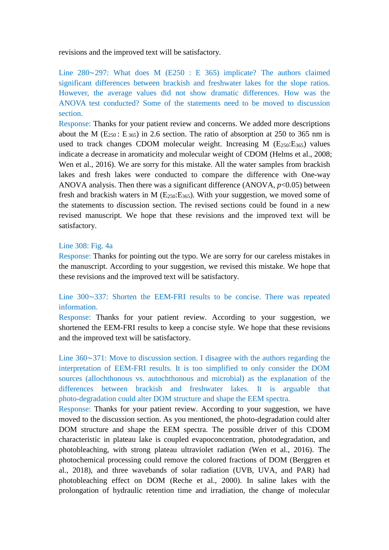revisions and the improved text will be satisfactory.

Line 280∼297: What does M (E250 : E 365) implicate? The authors claimed significant differences between brackish and freshwater lakes for the slope ratios. However, the average values did not show dramatic differences. How was the ANOVA test conducted? Some of the statements need to be moved to discussion section.

Response: Thanks for your patient review and concerns. We added more descriptions about the M ( $E_{250}$ :  $E_{365}$ ) in 2.6 section. The ratio of absorption at 250 to 365 nm is used to track changes CDOM molecular weight. Increasing M  $(E_{250}:E_{365})$  values indicate a decrease in aromaticity and molecular weight of CDOM (Helms et al., 2008; Wen et al., 2016). We are sorry for this mistake. All the water samples from brackish lakes and fresh lakes were conducted to compare the difference with One-way ANOVA analysis. Then there was a significant difference (ANOVA,  $p<0.05$ ) between fresh and brackish waters in M  $(E_{250}:E_{365})$ . With your suggestion, we moved some of the statements to discussion section. The revised sections could be found in a new revised manuscript. We hope that these revisions and the improved text will be satisfactory.

### Line 308: Fig. 4a

Response: Thanks for pointing out the typo. We are sorry for our careless mistakes in the manuscript. According to your suggestion, we revised this mistake. We hope that these revisions and the improved text will be satisfactory.

## Line 300∼337: Shorten the EEM-FRI results to be concise. There was repeated information.

Response: Thanks for your patient review. According to your suggestion, we shortened the EEM-FRI results to keep a concise style. We hope that these revisions and the improved text will be satisfactory.

Line 360∼371: Move to discussion section. I disagree with the authors regarding the interpretation of EEM-FRI results. It is too simplified to only consider the DOM sources (allochthonous vs. autochthonous and microbial) as the explanation of the differences between brackish and freshwater lakes. It is arguable that photo-degradation could alter DOM structure and shape the EEM spectra.

Response: Thanks for your patient review. According to your suggestion, we have moved to the discussion section. As you mentioned, the photo-degradation could alter DOM structure and shape the EEM spectra. The possible driver of this CDOM characteristic in plateau lake is coupled evapoconcentration, photodegradation, and photobleaching, with strong plateau ultraviolet radiation (Wen et al., 2016). The photochemical processing could remove the colored fractions of DOM (Berggren et al., 2018), and three wavebands of solar radiation (UVB, UVA, and PAR) had photobleaching effect on DOM (Reche et al., 2000). In saline lakes with the prolongation of hydraulic retention time and irradiation, the change of molecular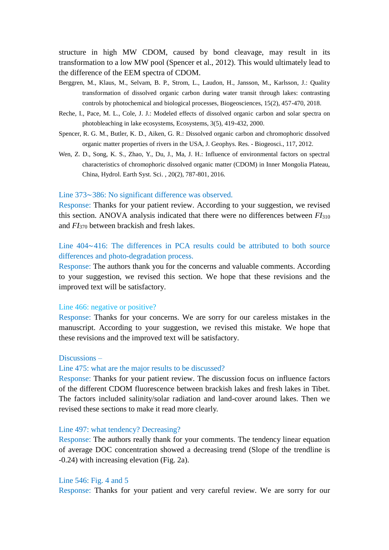structure in high MW CDOM, caused by bond cleavage, may result in its transformation to a low MW pool (Spencer et al., 2012). This would ultimately lead to the difference of the EEM spectra of CDOM.

- Berggren, M., Klaus, M., Selvam, B. P., Strom, L., Laudon, H., Jansson, M., Karlsson, J.: Quality transformation of dissolved organic carbon during water transit through lakes: contrasting controls by photochemical and biological processes, Biogeosciences, 15(2), 457-470, 2018.
- Reche, I., Pace, M. L., Cole, J. J.: Modeled effects of dissolved organic carbon and solar spectra on photobleaching in lake ecosystems, Ecosystems, 3(5), 419-432, 2000.
- Spencer, R. G. M., Butler, K. D., Aiken, G. R.: Dissolved organic carbon and chromophoric dissolved organic matter properties of rivers in the USA, J. Geophys. Res. - Biogeosci., 117, 2012.
- Wen, Z. D., Song, K. S., Zhao, Y., Du, J., Ma, J. H.: Influence of environmental factors on spectral characteristics of chromophoric dissolved organic matter (CDOM) in Inner Mongolia Plateau, China, Hydrol. Earth Syst. Sci. , 20(2), 787-801, 2016.

#### Line 373∼386: No significant difference was observed.

Response: Thanks for your patient review. According to your suggestion, we revised this section. ANOVA analysis indicated that there were no differences between *FI*<sup>310</sup> and *FI*<sup>370</sup> between brackish and fresh lakes.

## Line 404∼416: The differences in PCA results could be attributed to both source differences and photo-degradation process.

Response: The authors thank you for the concerns and valuable comments. According to your suggestion, we revised this section. We hope that these revisions and the improved text will be satisfactory.

### Line 466: negative or positive?

Response: Thanks for your concerns. We are sorry for our careless mistakes in the manuscript. According to your suggestion, we revised this mistake. We hope that these revisions and the improved text will be satisfactory.

#### Discussions –

#### Line 475: what are the major results to be discussed?

Response: Thanks for your patient review. The discussion focus on influence factors of the different CDOM fluorescence between brackish lakes and fresh lakes in Tibet. The factors included salinity/solar radiation and land-cover around lakes. Then we revised these sections to make it read more clearly.

#### Line 497: what tendency? Decreasing?

Response: The authors really thank for your comments. The tendency linear equation of average DOC concentration showed a decreasing trend (Slope of the trendline is -0.24) with increasing elevation (Fig. 2a).

#### Line 546: Fig. 4 and 5

Response: Thanks for your patient and very careful review. We are sorry for our